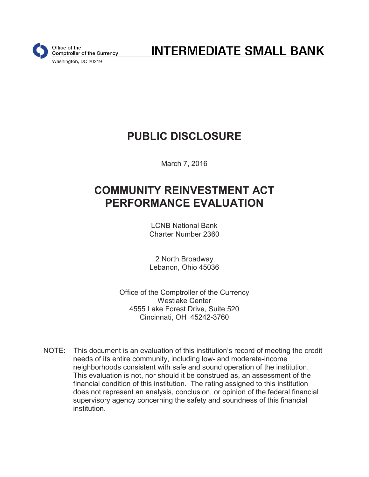

**INTERMEDIATE SMALL BANK** 

## **PUBLIC DISCLOSURE**

March 7, 2016

# **COMMUNITY REINVESTMENT ACT PERFORMANCE EVALUATION**

LCNB National Bank Charter Number 2360

2 North Broadway Lebanon, Ohio 45036

Office of the Comptroller of the Currency Westlake Center 4555 Lake Forest Drive, Suite 520 Cincinnati, OH 45242-3760

NOTE: This document is an evaluation of this institution's record of meeting the credit needs of its entire community, including low- and moderate-income neighborhoods consistent with safe and sound operation of the institution. This evaluation is not, nor should it be construed as, an assessment of the financial condition of this institution. The rating assigned to this institution does not represent an analysis, conclusion, or opinion of the federal financial supervisory agency concerning the safety and soundness of this financial institution.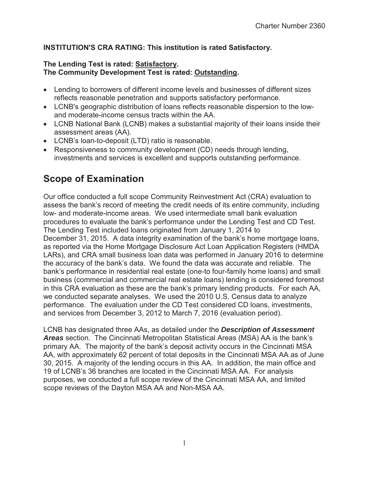#### **INSTITUTION'S CRA RATING: This institution is rated Satisfactory.**

#### **The Lending Test is rated: Satisfactory. The Community Development Test is rated: Outstanding.**

- Lending to borrowers of different income levels and businesses of different sizes reflects reasonable penetration and supports satisfactory performance.
- LCNB's geographic distribution of loans reflects reasonable dispersion to the lowand moderate-income census tracts within the AA.
- LCNB National Bank (LCNB) makes a substantial majority of their loans inside their assessment areas (AA).
- LCNB's loan-to-deposit (LTD) ratio is reasonable.
- Responsiveness to community development (CD) needs through lending, investments and services is excellent and supports outstanding performance.

### **Scope of Examination**

Our office conducted a full scope Community Reinvestment Act (CRA) evaluation to assess the bank's record of meeting the credit needs of its entire community, including low- and moderate-income areas. We used intermediate small bank evaluation procedures to evaluate the bank's performance under the Lending Test and CD Test. The Lending Test included loans originated from January 1, 2014 to December 31, 2015. A data integrity examination of the bank's home mortgage loans, as reported via the Home Mortgage Disclosure Act Loan Application Registers (HMDA LARs), and CRA small business loan data was performed in January 2016 to determine the accuracy of the bank's data. We found the data was accurate and reliable. The bank's performance in residential real estate (one-to four-family home loans) and small business (commercial and commercial real estate loans) lending is considered foremost in this CRA evaluation as these are the bank's primary lending products. For each AA, we conducted separate analyses. We used the 2010 U.S. Census data to analyze performance. The evaluation under the CD Test considered CD loans, investments, and services from December 3, 2012 to March 7, 2016 (evaluation period).

LCNB has designated three AAs, as detailed under the *Description of Assessment Areas* section. The Cincinnati Metropolitan Statistical Areas (MSA) AA is the bank's primary AA. The majority of the bank's deposit activity occurs in the Cincinnati MSA AA, with approximately 62 percent of total deposits in the Cincinnati MSA AA as of June 30, 2015. A majority of the lending occurs in this AA. In addition, the main office and 19 of LCNB's 36 branches are located in the Cincinnati MSA AA. For analysis purposes, we conducted a full scope review of the Cincinnati MSA AA, and limited scope reviews of the Dayton MSA AA and Non-MSA AA.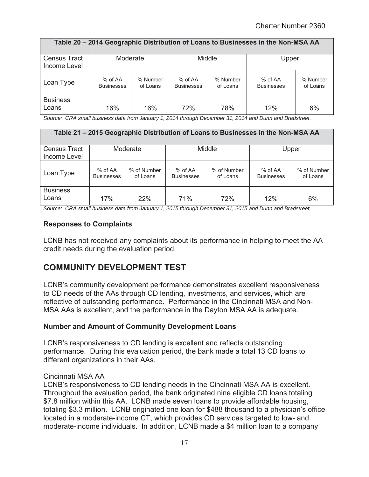| Table 20 - 2014 Geographic Distribution of Loans to Businesses in the Non-MSA AA |                                |                      |                                |                      |                              |                      |  |  |  |  |
|----------------------------------------------------------------------------------|--------------------------------|----------------------|--------------------------------|----------------------|------------------------------|----------------------|--|--|--|--|
| <b>Census Tract</b><br>Income Level                                              | Moderate                       |                      | Middle                         |                      | Upper                        |                      |  |  |  |  |
| Loan Type                                                                        | $%$ of AA<br><b>Businesses</b> | % Number<br>of Loans | $%$ of AA<br><b>Businesses</b> | % Number<br>of Loans | % of AA<br><b>Businesses</b> | % Number<br>of Loans |  |  |  |  |
| <b>Business</b><br>Loans                                                         | 16%                            | 16%                  | 72%                            | 78%                  | 12%                          | 6%                   |  |  |  |  |

*Source: CRA small business data from January 1, 2014 through December 31, 2014 and Dunn and Bradstreet.* 

| Table 21 – 2015 Geographic Distribution of Loans to Businesses in the Non-MSA AA |                              |                         |                              |                         |                                |                         |  |  |  |  |  |
|----------------------------------------------------------------------------------|------------------------------|-------------------------|------------------------------|-------------------------|--------------------------------|-------------------------|--|--|--|--|--|
| <b>Census Tract</b><br>Income Level                                              | Moderate                     |                         | Middle                       |                         | Upper                          |                         |  |  |  |  |  |
| Loan Type                                                                        | % of AA<br><b>Businesses</b> | % of Number<br>of Loans | % of AA<br><b>Businesses</b> | % of Number<br>of Loans | $%$ of AA<br><b>Businesses</b> | % of Number<br>of Loans |  |  |  |  |  |
| <b>Business</b><br>Loans                                                         | 17%                          | 22%                     | 71%                          | 72%                     | 12%                            | 6%                      |  |  |  |  |  |

*Source: CRA small business data from January 1, 2015 through December 31, 2015 and Dunn and Bradstreet.* 

#### **Responses to Complaints**

LCNB has not received any complaints about its performance in helping to meet the AA credit needs during the evaluation period.

### **COMMUNITY DEVELOPMENT TEST**

LCNB's community development performance demonstrates excellent responsiveness to CD needs of the AAs through CD lending, investments, and services, which are reflective of outstanding performance. Performance in the Cincinnati MSA and Non-MSA AAs is excellent, and the performance in the Dayton MSA AA is adequate.

#### **Number and Amount of Community Development Loans**

LCNB's responsiveness to CD lending is excellent and reflects outstanding performance. During this evaluation period, the bank made a total 13 CD loans to different organizations in their AAs.

#### Cincinnati MSA AA

LCNB's responsiveness to CD lending needs in the Cincinnati MSA AA is excellent. Throughout the evaluation period, the bank originated nine eligible CD loans totaling \$7.8 million within this AA. LCNB made seven loans to provide affordable housing, totaling \$3.3 million. LCNB originated one loan for \$488 thousand to a physician's office located in a moderate-income CT, which provides CD services targeted to low- and moderate-income individuals. In addition, LCNB made a \$4 million loan to a company